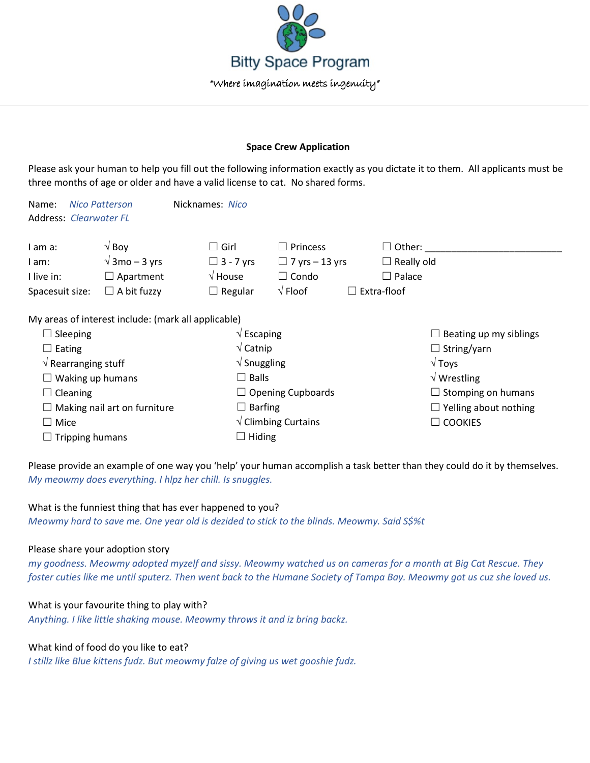

### **Space Crew Application**

Please ask your human to help you fill out the following information exactly as you dictate it to them. All applicants must be three months of age or older and have a valid license to cat. No shared forms.

| <b>Nico Patterson</b><br>Name:      |                                                     | Nicknames: Nico                |                                        |                               |
|-------------------------------------|-----------------------------------------------------|--------------------------------|----------------------------------------|-------------------------------|
| <b>Address: Clearwater FL</b>       |                                                     |                                |                                        |                               |
|                                     |                                                     |                                |                                        |                               |
| I am a:                             | $\sqrt{}$ Boy                                       | Girl                           | Princess                               | $\Box$ Other:                 |
| I am:                               | $\sqrt{3}$ mo – 3 yrs                               | $\Box$ 3 - 7 yrs               | $\Box$ 7 yrs – 13 yrs                  | $\Box$ Really old             |
| I live in:                          | $\Box$ Apartment                                    | $\sqrt{}$ House                | $\Box$ Condo                           | $\Box$ Palace                 |
| Spacesuit size:                     | $\Box$ A bit fuzzy                                  | $\Box$ Regular                 | $\sqrt{}$ Floof                        | Extra-floof<br>$\Box$         |
|                                     | My areas of interest include: (mark all applicable) |                                |                                        |                               |
| $\Box$ Sleeping                     |                                                     | $\sqrt{\mathsf{Escaping}}$     |                                        | $\Box$ Beating up my siblings |
| $\Box$ Eating                       |                                                     | $\sqrt{\text{Catnip}}$         |                                        | $\Box$ String/yarn            |
| $\sqrt{ }$ Rearranging stuff        |                                                     | $\sqrt{\frac{1}{2}}$ Snuggling |                                        | $\sqrt{T}$ oys                |
| $\Box$ Waking up humans             |                                                     | $\square$ Balls                |                                        | $\sqrt{W}$ Wrestling          |
| $\Box$ Cleaning                     |                                                     |                                | $\Box$ Opening Cupboards               | $\Box$ Stomping on humans     |
| $\Box$ Making nail art on furniture |                                                     | $\Box$ Barfing                 |                                        | $\Box$ Yelling about nothing  |
| $\Box$ Mice                         |                                                     |                                | $\sqrt{\frac{1}{1}}$ Climbing Curtains | <b>COOKIES</b>                |
| $\Box$ Tripping humans              |                                                     | $\Box$ Hiding                  |                                        |                               |

Please provide an example of one way you 'help' your human accomplish a task better than they could do it by themselves. *My meowmy does everything. I hlpz her chill. Is snuggles.*

# What is the funniest thing that has ever happened to you?

*Meowmy hard to save me. One year old is dezided to stick to the blinds. Meowmy. Said S\$%t*

### Please share your adoption story

*my goodness. Meowmy adopted myzelf and sissy. Meowmy watched us on cameras for a month at Big Cat Rescue. They foster cuties like me until sputerz. Then went back to the Humane Society of Tampa Bay. Meowmy got us cuz she loved us.*

### What is your favourite thing to play with?

*Anything. I like little shaking mouse. Meowmy throws it and iz bring backz.*

## What kind of food do you like to eat?

*I stillz like Blue kittens fudz. But meowmy falze of giving us wet gooshie fudz.*